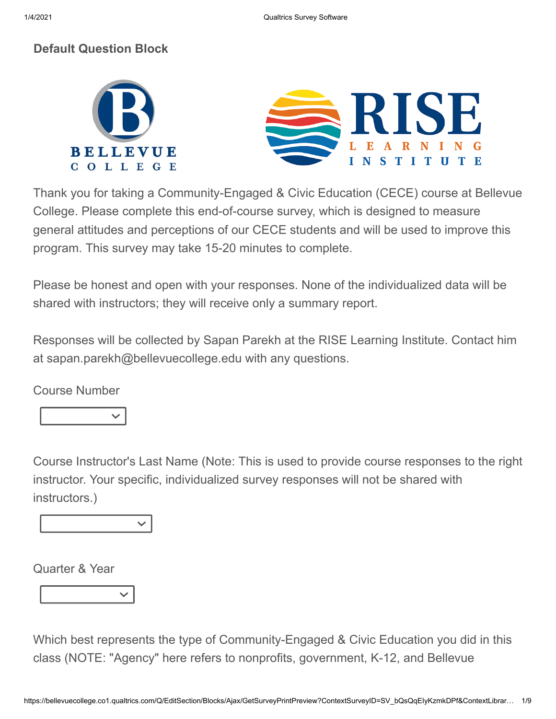## **Default Question Block**



Thank you for taking a Community-Engaged & Civic Education (CECE) course at Bellevue College. Please complete this end-of-course survey, which is designed to measure general attitudes and perceptions of our CECE students and will be used to improve this program. This survey may take 15-20 minutes to complete.

Please be honest and open with your responses. None of the individualized data will be shared with instructors; they will receive only a summary report.

Responses will be collected by Sapan Parekh at the RISE Learning Institute. Contact him at sapan.parekh@bellevuecollege.edu with any questions.

Course Number

Course Instructor's Last Name (Note: This is used to provide course responses to the right instructor. Your specific, individualized survey responses will not be shared with instructors.)

Quarter & Year

Which best represents the type of Community-Engaged & Civic Education you did in this class (NOTE: "Agency" here refers to nonprofits, government, K-12, and Bellevue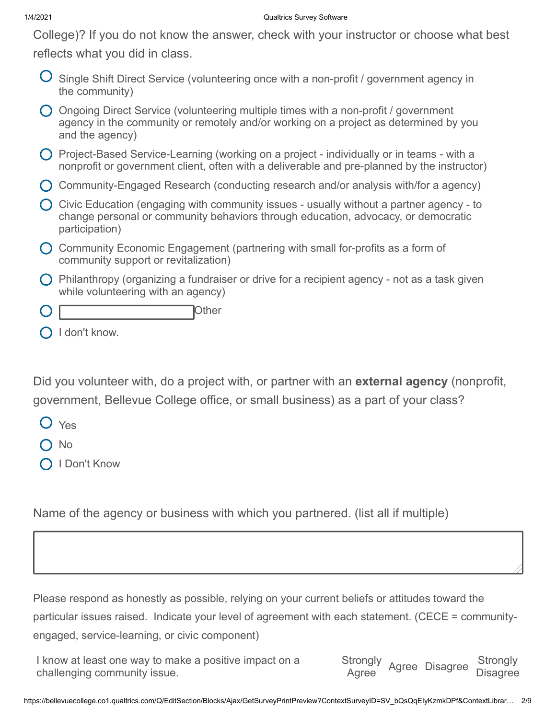## 1/4/2021 Qualtrics Survey Software

College)? If you do not know the answer, check with your instructor or choose what best reflects what you did in class.

 $\bigcup$  Single Shift Direct Service (volunteering once with a non-profit / government agency in the community)

| $\bigcap$ Ongoing Direct Service (volunteering multiple times with a non-profit / government |
|----------------------------------------------------------------------------------------------|
| agency in the community or remotely and/or working on a project as determined by you         |
| and the agency)                                                                              |

- Project-Based Service-Learning (working on a project individually or in teams with a nonprofit or government client, often with a deliverable and pre-planned by the instructor)
- Community-Engaged Research (conducting research and/or analysis with/for a agency)
- $\bigcirc$  Civic Education (engaging with community issues usually without a partner agency to change personal or community behaviors through education, advocacy, or democratic participation)
- Community Economic Engagement (partnering with small for-profits as a form of community support or revitalization)
- $\bigcirc$  Philanthropy (organizing a fundraiser or drive for a recipient agency not as a task given while volunteering with an agency)
- Other
- $\bigcap$  I don't know.

Did you volunteer with, do a project with, or partner with an **external agency** (nonprofit, government, Bellevue College office, or small business) as a part of your class?

- Yes
- No
- **O** I Don't Know

Name of the agency or business with which you partnered. (list all if multiple)

Please respond as honestly as possible, relying on your current beliefs or attitudes toward the particular issues raised. Indicate your level of agreement with each statement. (CECE = communityengaged, service-learning, or civic component)

I know at least one way to make a positive impact on a challenging community issue. Strongly <sup>Strongly</sup> Agree Disagree <sup>Strongly</sup><br>Agree **Disagree**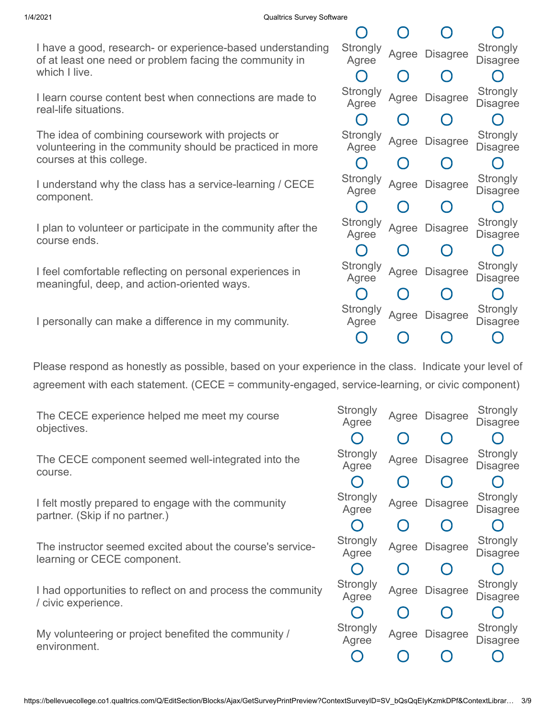I have a good, research- or experience-based understanding of at least one need or problem facing the community in which I live.

I learn course content best when connections are made to real-life situations.

The idea of combining coursework with projects or volunteering in the community should be practiced in more courses at this college.

I understand why the class has a service-learning / CECE component.

I plan to volunteer or participate in the community after the course ends.

I feel comfortable reflecting on personal experiences in meaningful, deep, and action-oriented ways.

I personally can make a difference in my community.

Please respond as honestly as possible, based on your experience in the class. Indicate your level of agreement with each statement. (CECE = community-engaged, service-learning, or civic component)

| The CECE experience helped me meet my course<br>objectives.                              | Strongly<br>Agree | Agree L |
|------------------------------------------------------------------------------------------|-------------------|---------|
|                                                                                          |                   |         |
| The CECE component seemed well-integrated into the<br>course.                            | Strongly<br>Agree | Agree L |
|                                                                                          |                   |         |
| I felt mostly prepared to engage with the community<br>partner. (Skip if no partner.)    | Strongly<br>Agree | Agree D |
|                                                                                          |                   |         |
| The instructor seemed excited about the course's service-<br>learning or CECE component. | Strongly<br>Agree | Agree D |
|                                                                                          |                   |         |
|                                                                                          |                   |         |

I had opportunities to reflect on and process the community / civic experience.

My volunteering or project benefited the community / environment.

| $\subset$                                     | $\bigcap$                                     | $\Box$          |                                    |
|-----------------------------------------------|-----------------------------------------------|-----------------|------------------------------------|
| Strongly<br>Agree                             | Agree                                         | Disagree        | <b>Strongly</b><br>Disagree        |
| $\bigcap$                                     | $\bigcap$                                     | O               |                                    |
| <b>Strongly</b><br>Agree                      | Agree                                         | Disagree        | Strongly<br>Disagree               |
| $\bigcap$                                     | $\bigcap$                                     | O               |                                    |
| <b>Strongly</b><br>Agree                      | Agree                                         | <b>Disagree</b> | Strongly<br>Disagree               |
| $\left( \begin{array}{c} \end{array} \right)$ | $\left(\begin{array}{c} 1 \end{array}\right)$ | ( )             |                                    |
| <b>Strongly</b><br>Agree                      | Agree                                         | Disagree        | <b>Strongly</b><br><b>Disagree</b> |
| $\left( \begin{array}{c} \end{array} \right)$ | $\bigcap$                                     | O               |                                    |
| Strongly<br>Agree                             | Agree                                         | Disagree        | Strongly<br>Disagree               |
| $\Box$                                        | $\bigcap$                                     | $\bigcap$       |                                    |
| Strongly<br>Agree                             | Agree                                         | <b>Disagree</b> | Strongly<br><b>Disagree</b>        |
|                                               | $\bigcap$                                     | $\bigcap$       |                                    |
| Strongly<br>Agree                             | Agree                                         | Disagree        | <b>Strongly</b><br>Disagree        |
|                                               |                                               |                 |                                    |

| Strongly<br>Agree |           | Agree Disagree                                | Strongly<br>Disagree                            |
|-------------------|-----------|-----------------------------------------------|-------------------------------------------------|
| ( )               | $\bigcap$ | $\left(\begin{array}{c} 1 \end{array}\right)$ | C                                               |
| Strongly<br>Agree | Agree     | <b>Disagree</b>                               | Strongly<br><b>Disagree</b>                     |
| $\bigcap$         | $\bigcap$ | $\bigcap$                                     | $\left( \ \right)$                              |
| Strongly<br>Agree | Agree     | <b>Disagree</b>                               | Strongly<br><b>Disagree</b>                     |
| $\bigcap$         | $\bigcap$ | $\bigcap$                                     | $\left( \ \right)$                              |
| Strongly<br>Agree | Agree     | <b>Disagree</b>                               | <b>Strongly</b><br><b>Disagree</b>              |
| $\bigcap$         | $\bigcap$ | ( )                                           | $\left( \begin{array}{c} 1 \end{array} \right)$ |
| Strongly<br>Agree | Agree     | <b>Disagree</b>                               | <b>Strongly</b><br><b>Disagree</b>              |
|                   | $\bigcap$ | $\left(\ \right)$                             |                                                 |
| Strongly<br>Agree | Agree     | <b>Disagree</b>                               | Strongly<br><b>Disagree</b>                     |
|                   |           |                                               |                                                 |
|                   |           |                                               |                                                 |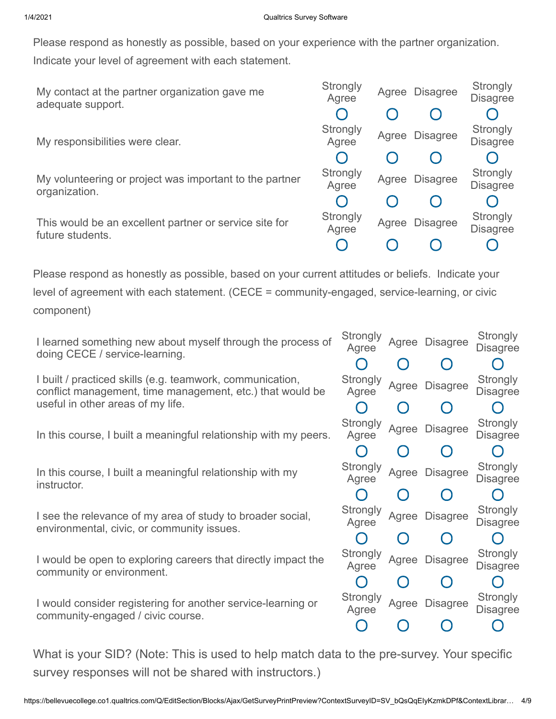Please respond as honestly as possible, based on your experience with the partner organization.

Indicate your level of agreement with each statement.

| My contact at the partner organization gave me<br>adequate support.        | Strongly<br>Agree | Agree | <b>Disagree</b>                   | Strongly<br><b>Disagree</b> |
|----------------------------------------------------------------------------|-------------------|-------|-----------------------------------|-----------------------------|
|                                                                            |                   |       |                                   |                             |
| My responsibilities were clear.                                            | Strongly<br>Agree | Agree | <b>Disagree</b>                   | Strongly<br><b>Disagree</b> |
|                                                                            |                   |       |                                   |                             |
| My volunteering or project was important to the partner<br>organization.   | Strongly<br>Agree |       |                                   | Strongly<br><b>Disagree</b> |
|                                                                            |                   |       | Agree Disagree<br><b>Disagree</b> |                             |
| This would be an excellent partner or service site for<br>future students. | Strongly<br>Agree | Agree |                                   | Strongly<br><b>Disagree</b> |
|                                                                            |                   |       |                                   |                             |
|                                                                            |                   |       |                                   |                             |

Please respond as honestly as possible, based on your current attitudes or beliefs. Indicate your level of agreement with each statement. (CECE = community-engaged, service-learning, or civic component)

I learned something new about myself through the process of doing CECE / service-learning.

I built / practiced skills (e.g. teamwork, communication, conflict management, time management, etc.) that would be useful in other areas of my life.

In this course, I built a meaningful relationship with my peers.

In this course, I built a meaningful relationship with my instructor.

I see the relevance of my area of study to broader social, environmental, civic, or community issues.

I would be open to exploring careers that directly impact the community or environment.

I would consider registering for another service-learning or community-engaged / civic course.

| Strongly<br>Agree                             |                                               | Agree Disagree                                  | Strongly<br>Disagree        |
|-----------------------------------------------|-----------------------------------------------|-------------------------------------------------|-----------------------------|
| $\left( \begin{array}{c} \end{array} \right)$ | ( )                                           | $\Box$                                          |                             |
| Strongly<br>Agree                             | Agree                                         | <b>Disagree</b>                                 | Strongly<br>Disagree        |
| $\cap$                                        | $\bigcap$                                     | $\bigcap$                                       |                             |
| Strongly<br>Agree                             | Agree                                         | Disagree                                        | <b>Strongly</b><br>Disagree |
| $\left( \begin{array}{c} \end{array} \right)$ | $\left( \begin{array}{c} \end{array} \right)$ | $\left( \begin{array}{c} 1 \end{array} \right)$ |                             |
| Strongly<br>Agree                             | Agree                                         | <b>Disagree</b>                                 | Strongly<br>Disagree        |
| $\Box$                                        | $\left( \ \right)$                            | $\bigcap$                                       |                             |
| <b>Strongly</b><br>Agree                      | Agree                                         | Disagree                                        | Strongly<br>Disagree        |
| $\begin{array}{c} \square \end{array}$        | ( )                                           | $\Box$                                          |                             |
| Strongly<br>Agree                             | Agree                                         | <b>Disagree</b>                                 | Strongly<br>Disagree        |
|                                               | $\left( \ \right)$                            | ۰                                               |                             |
| Strongly<br>Agree                             | Agree                                         | Disagree                                        | <b>Strongly</b><br>Disagree |
|                                               |                                               |                                                 |                             |

What is your SID? (Note: This is used to help match data to the pre-survey. Your specific survey responses will not be shared with instructors.)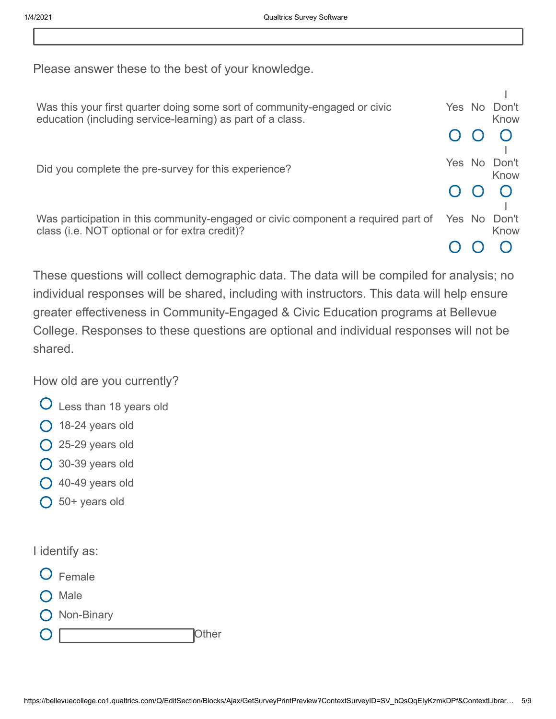Please answer these to the best of your knowledge.

| Was this your first quarter doing some sort of community-engaged or civic         |        | Yes No | Don't        |
|-----------------------------------------------------------------------------------|--------|--------|--------------|
| education (including service-learning) as part of a class.                        |        |        | Know         |
|                                                                                   |        |        |              |
|                                                                                   |        |        |              |
|                                                                                   |        |        | Yes No Don't |
| Did you complete the pre-survey for this experience?                              |        |        | Know         |
|                                                                                   |        |        |              |
|                                                                                   |        |        |              |
| Was participation in this community-engaged or civic component a required part of | Yes No |        | Don't        |
| class (i.e. NOT optional or for extra credit)?                                    |        |        | Know         |
|                                                                                   |        |        |              |
|                                                                                   |        |        |              |

These questions will collect demographic data. The data will be compiled for analysis; no individual responses will be shared, including with instructors. This data will help ensure greater effectiveness in Community-Engaged & Civic Education programs at Bellevue College. Responses to these questions are optional and individual responses will not be shared.

How old are you currently?

- Less than 18 years old
- $O$  18-24 years old
- $O$  25-29 years old
- 30-39 years old
- $O$  40-49 years old
- $O$  50+ years old

I identify as:

- Female
- Male
- Non-Binary
- 

**Other**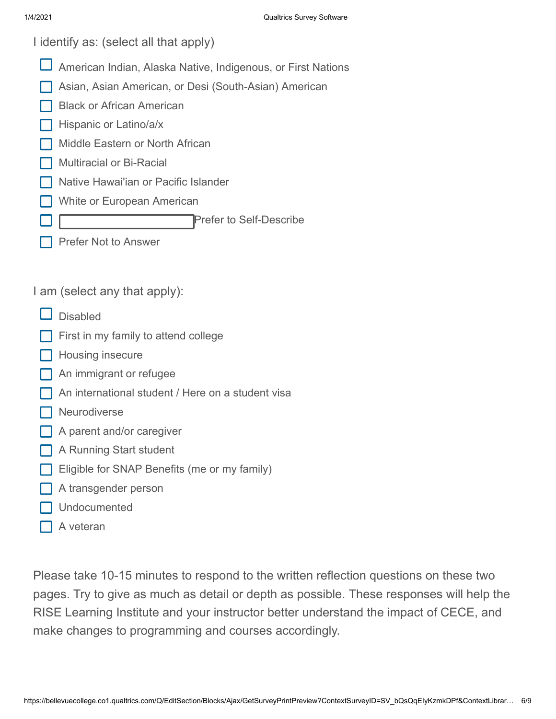I identify as: (select all that apply)

- American Indian, Alaska Native, Indigenous, or First Nations
- Asian, Asian American, or Desi (South-Asian) American
- Black or African American
- Hispanic or Latino/a/x
- Middle Eastern or North African
- Multiracial or Bi-Racial
- Native Hawai'ian or Pacific Islander
- White or European American

Prefer to Self-Describe

Prefer Not to Answer

I am (select any that apply):

- Disabled
- First in my family to attend college
- **Housing insecure**
- An immigrant or refugee
- An international student / Here on a student visa
- **Neurodiverse**
- A parent and/or caregiver
- A Running Start student
- Eligible for SNAP Benefits (me or my family)
- A transgender person
- Undocumented
- A veteran

Please take 10-15 minutes to respond to the written reflection questions on these two pages. Try to give as much as detail or depth as possible. These responses will help the RISE Learning Institute and your instructor better understand the impact of CECE, and make changes to programming and courses accordingly.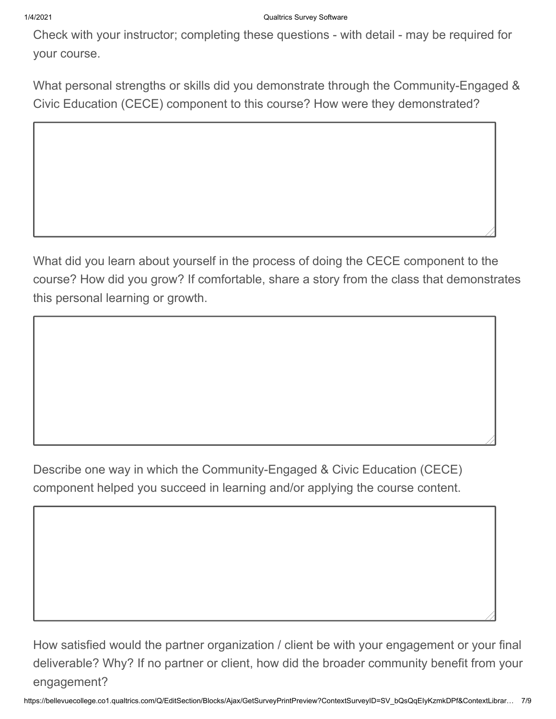Check with your instructor; completing these questions - with detail - may be required for your course.

What personal strengths or skills did you demonstrate through the Community-Engaged & Civic Education (CECE) component to this course? How were they demonstrated?

What did you learn about yourself in the process of doing the CECE component to the course? How did you grow? If comfortable, share a story from the class that demonstrates this personal learning or growth.

Describe one way in which the Community-Engaged & Civic Education (CECE) component helped you succeed in learning and/or applying the course content.

How satisfied would the partner organization / client be with your engagement or your final deliverable? Why? If no partner or client, how did the broader community benefit from your engagement?